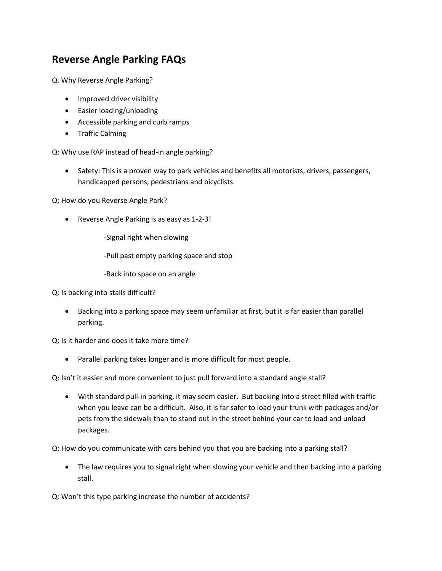## **Reverse Angle Parking FAQs**

Q. Why Reverse Angle Parking?

- Improved driver visibility
- Easier loading/unloading
- Accessible parking and curb ramps
- **•** Traffic Calming

Q: Why use RAP instead of head-in angle parking?

• Safety: This is a proven way to park vehicles and benefits all motorists, drivers, passengers, handicapped persons, pedestrians and bicyclists.

Q: How do you Reverse Angle Park?

Reverse Angle Parking is as easy as 1-2-3!

-Signal right when slowing

-Pull past empty parking space and stop

-Back into space on an angle

Q: Is backing into stalls difficult?

 Backing into a parking space may seem unfamiliar at first, but it is far easier than parallel parking.

Q: Is it harder and does it take more time?

Parallel parking takes longer and is more difficult for most people.

Q: Isn't it easier and more convenient to just pull forward into a standard angle stall?

 With standard pull-in parking, it may seem easier. But backing into a street filled with traffic when you leave can be a difficult. Also, it is far safer to load your trunk with packages and/or pets from the sidewalk than to stand out in the street behind your car to load and unload packages.

Q: How do you communicate with cars behind you that you are backing into a parking stall?

• The law requires you to signal right when slowing your vehicle and then backing into a parking stall.

Q: Won't this type parking increase the number of accidents?